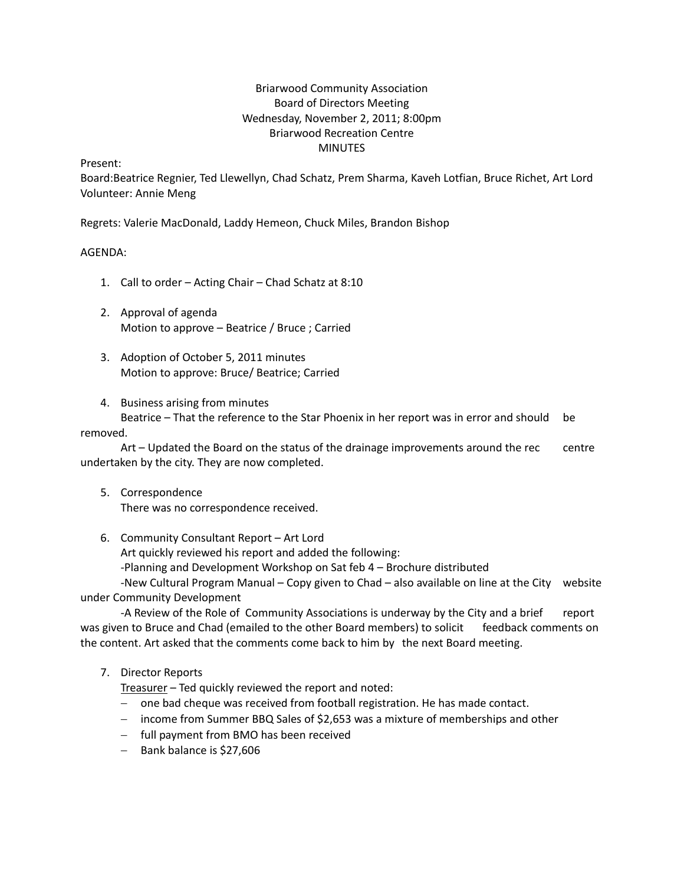# Briarwood Community Association Board of Directors Meeting Wednesday, November 2, 2011; 8:00pm Briarwood Recreation Centre MINUTES

Present:

Board:Beatrice Regnier, Ted Llewellyn, Chad Schatz, Prem Sharma, Kaveh Lotfian, Bruce Richet, Art Lord Volunteer: Annie Meng

Regrets: Valerie MacDonald, Laddy Hemeon, Chuck Miles, Brandon Bishop

### AGENDA:

- 1. Call to order Acting Chair Chad Schatz at 8:10
- 2. Approval of agenda Motion to approve – Beatrice / Bruce ; Carried
- 3. Adoption of October 5, 2011 minutes Motion to approve: Bruce/ Beatrice; Carried
- 4. Business arising from minutes

Beatrice – That the reference to the Star Phoenix in her report was in error and should be removed.

Art – Updated the Board on the status of the drainage improvements around the rec centre undertaken by the city. They are now completed.

- 5. Correspondence There was no correspondence received.
- 6. Community Consultant Report Art Lord

Art quickly reviewed his report and added the following:

‐Planning and Development Workshop on Sat feb 4 – Brochure distributed

 ‐New Cultural Program Manual – Copy given to Chad – also available on line at the City website under Community Development

 ‐A Review of the Role of Community Associations is underway by the City and a brief report was given to Bruce and Chad (emailed to the other Board members) to solicit feedback comments on the content. Art asked that the comments come back to him by the next Board meeting.

### 7. Director Reports

Treasurer – Ted quickly reviewed the report and noted:

- − one bad cheque was received from football registration. He has made contact.
- − income from Summer BBQ Sales of \$2,653 was a mixture of memberships and other
- − full payment from BMO has been received
- − Bank balance is \$27,606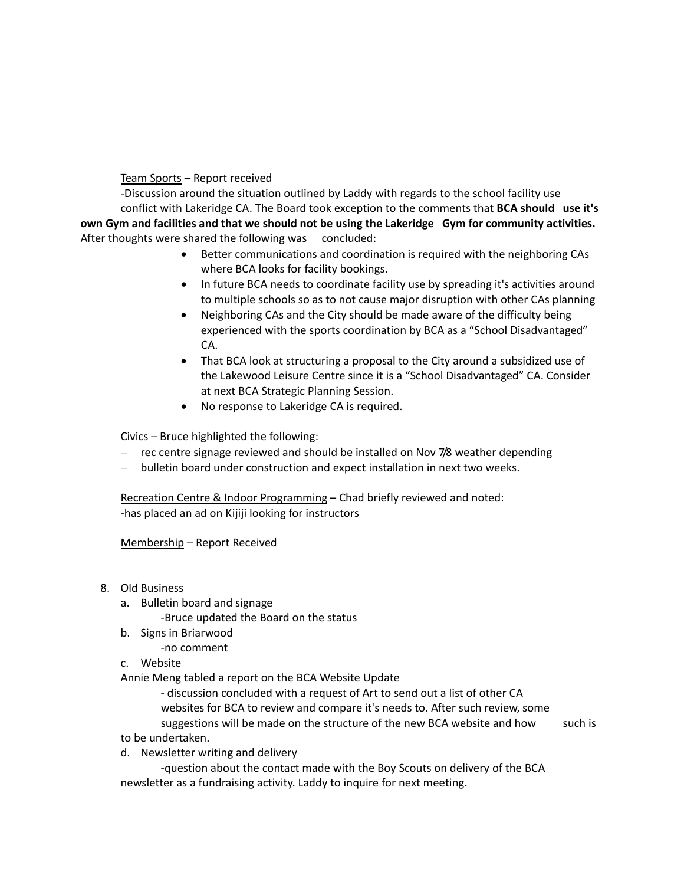Team Sports – Report received

 ‐Discussion around the situation outlined by Laddy with regards to the school facility use conflict with Lakeridge CA. The Board took exception to the comments that **BCA should use it's** own Gym and facilities and that we should not be using the Lakeridge Gym for community activities. After thoughts were shared the following was concluded:

- Better communications and coordination is required with the neighboring CAs where BCA looks for facility bookings.
- In future BCA needs to coordinate facility use by spreading it's activities around to multiple schools so as to not cause major disruption with other CAs planning
- Neighboring CAs and the City should be made aware of the difficulty being experienced with the sports coordination by BCA as a "School Disadvantaged" CA.
- That BCA look at structuring a proposal to the City around a subsidized use of the Lakewood Leisure Centre since it is a "School Disadvantaged" CA. Consider at next BCA Strategic Planning Session.
- No response to Lakeridge CA is required.

Civics – Bruce highlighted the following:

- − rec centre signage reviewed and should be installed on Nov 7/8 weather depending
- − bulletin board under construction and expect installation in next two weeks.

Recreation Centre & Indoor Programming – Chad briefly reviewed and noted: ‐has placed an ad on Kijiji looking for instructors

Membership – Report Received

- 8. Old Business
	- a. Bulletin board and signage

‐Bruce updated the Board on the status

b. Signs in Briarwood

‐no comment

c. Website

Annie Meng tabled a report on the BCA Website Update

 ‐ discussion concluded with a request of Art to send out a list of other CA websites for BCA to review and compare it's needs to. After such review, some suggestions will be made on the structure of the new BCA website and how such is

- to be undertaken.
- d. Newsletter writing and delivery

 ‐question about the contact made with the Boy Scouts on delivery of the BCA newsletter as a fundraising activity. Laddy to inquire for next meeting.